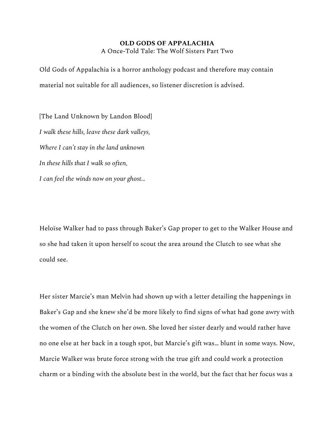## **OLD GODS OF APPALACHIA**

A Once-Told Tale: The Wolf Sisters Part Two

Old Gods of Appalachia is a horror anthology podcast and therefore may contain material not suitable for all audiences, so listener discretion is advised.

[The Land Unknown by Landon Blood] *I walk these hills, leave these dark valleys, Where I can't stay in the land unknown In these hills that I walk so often, I can feel the winds now on your ghost…*

Heloïse Walker had to pass through Baker's Gap proper to get to the Walker House and so she had taken it upon herself to scout the area around the Clutch to see what she could see.

Her sister Marcie's man Melvin had shown up with a letter detailing the happenings in Baker's Gap and she knew she'd be more likely to find signs of what had gone awry with the women of the Clutch on her own. She loved her sister dearly and would rather have no one else at her back in a tough spot, but Marcie's gift was… blunt in some ways. Now, Marcie Walker was brute force strong with the true gift and could work a protection charm or a binding with the absolute best in the world, but the fact that her focus was a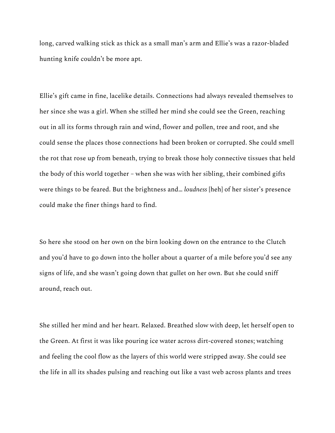long, carved walking stick as thick as a small man's arm and Ellie's was a razor-bladed hunting knife couldn't be more apt.

Ellie's gift came in fine, lacelike details. Connections had always revealed themselves to her since she was a girl. When she stilled her mind she could see the Green, reaching out in all its forms through rain and wind, flower and pollen, tree and root, and she could sense the places those connections had been broken or corrupted. She could smell the rot that rose up from beneath, trying to break those holy connective tissues that held the body of this world together – when she was with her sibling, their combined gifts were things to be feared. But the brightness and… *loudness* [heh] of her sister's presence could make the finer things hard to find.

So here she stood on her own on the birn looking down on the entrance to the Clutch and you'd have to go down into the holler about a quarter of a mile before you'd see any signs of life, and she wasn't going down that gullet on her own. But she could sniff around, reach out.

She stilled her mind and her heart. Relaxed. Breathed slow with deep, let herself open to the Green. At first it was like pouring ice water across dirt-covered stones; watching and feeling the cool flow as the layers of this world were stripped away. She could see the life in all its shades pulsing and reaching out like a vast web across plants and trees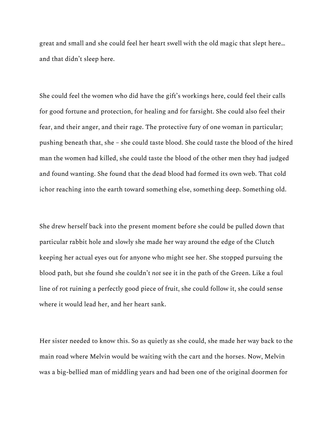great and small and she could feel her heart swell with the old magic that slept here… and that didn't sleep here.

She could feel the women who did have the gift's workings here, could feel their calls for good fortune and protection, for healing and for farsight. She could also feel their fear, and their anger, and their rage. The protective fury of one woman in particular; pushing beneath that, she – she could taste blood. She could taste the blood of the hired man the women had killed, she could taste the blood of the other men they had judged and found wanting. She found that the dead blood had formed its own web. That cold ichor reaching into the earth toward something else, something deep. Something old.

She drew herself back into the present moment before she could be pulled down that particular rabbit hole and slowly she made her way around the edge of the Clutch keeping her actual eyes out for anyone who might see her. She stopped pursuing the blood path, but she found she couldn't *not* see it in the path of the Green. Like a foul line of rot ruining a perfectly good piece of fruit, she could follow it, she could sense where it would lead her, and her heart sank.

Her sister needed to know this. So as quietly as she could, she made her way back to the main road where Melvin would be waiting with the cart and the horses. Now, Melvin was a big-bellied man of middling years and had been one of the original doormen for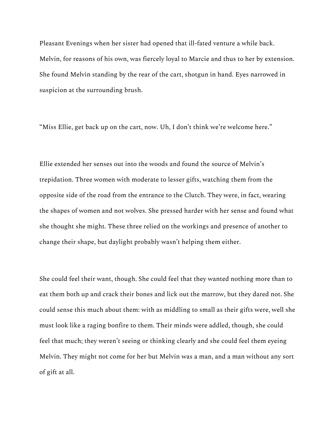Pleasant Evenings when her sister had opened that ill-fated venture a while back. Melvin, for reasons of his own, was fiercely loyal to Marcie and thus to her by extension. She found Melvin standing by the rear of the cart, shotgun in hand. Eyes narrowed in suspicion at the surrounding brush.

"Miss Ellie, get back up on the cart, now. Uh, I don't think we're welcome here."

Ellie extended her senses out into the woods and found the source of Melvin's trepidation. Three women with moderate to lesser gifts, watching them from the opposite side of the road from the entrance to the Clutch. They were, in fact, wearing the shapes of women and not wolves. She pressed harder with her sense and found what she thought she might. These three relied on the workings and presence of another to change their shape, but daylight probably wasn't helping them either.

She could feel their want, though. She could feel that they wanted nothing more than to eat them both up and crack their bones and lick out the marrow, but they dared not. She could sense this much about them: with as middling to small as their gifts were, well she must look like a raging bonfire to them. Their minds were addled, though, she could feel that much; they weren't seeing or thinking clearly and she could feel them eyeing Melvin. They might not come for her but Melvin was a man, and a man without any sort of gift at all.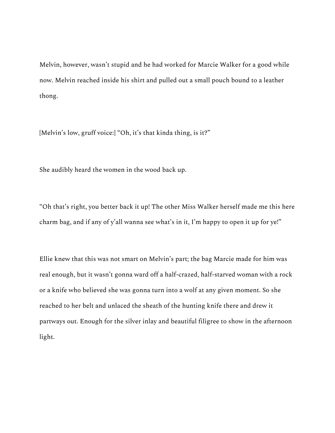Melvin, however, wasn't stupid and he had worked for Marcie Walker for a good while now. Melvin reached inside his shirt and pulled out a small pouch bound to a leather thong.

[Melvin's low, gruff voice:] "Oh, it's that kinda thing, is it?"

She audibly heard the women in the wood back up.

"Oh that's right, you better back it up! The other Miss Walker herself made me this here charm bag, and if any of y'all wanna see what's in it, I'm happy to open it up for ye!"

Ellie knew that this was not smart on Melvin's part; the bag Marcie made for him was real enough, but it wasn't gonna ward off a half-crazed, half-starved woman with a rock or a knife who believed she was gonna turn into a wolf at any given moment. So she reached to her belt and unlaced the sheath of the hunting knife there and drew it partways out. Enough for the silver inlay and beautiful filigree to show in the afternoon light.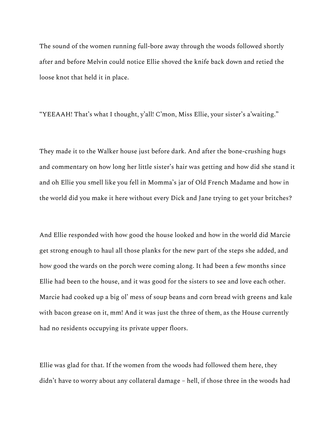The sound of the women running full-bore away through the woods followed shortly after and before Melvin could notice Ellie shoved the knife back down and retied the loose knot that held it in place.

"YEEAAH! That's what I thought, y'all! C'mon, Miss Ellie, your sister's a'waiting."

They made it to the Walker house just before dark. And after the bone-crushing hugs and commentary on how long her little sister's hair was getting and how did she stand it and oh Ellie you smell like you fell in Momma's jar of Old French Madame and how in the world did you make it here without every Dick and Jane trying to get your britches?

And Ellie responded with how good the house looked and how in the world did Marcie get strong enough to haul all those planks for the new part of the steps she added, and how good the wards on the porch were coming along. It had been a few months since Ellie had been to the house, and it was good for the sisters to see and love each other. Marcie had cooked up a big ol' mess of soup beans and corn bread with greens and kale with bacon grease on it, mm! And it was just the three of them, as the House currently had no residents occupying its private upper floors.

Ellie was glad for that. If the women from the woods had followed them here, they didn't have to worry about any collateral damage – hell, if those three in the woods had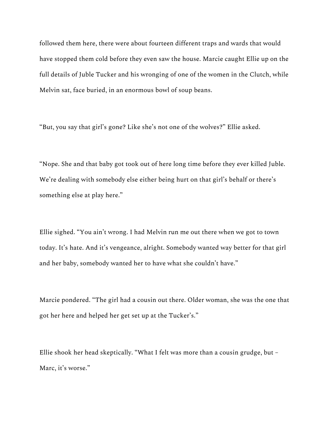followed them here, there were about fourteen different traps and wards that would have stopped them cold before they even saw the house. Marcie caught Ellie up on the full details of Juble Tucker and his wronging of one of the women in the Clutch, while Melvin sat, face buried, in an enormous bowl of soup beans.

"But, you say that girl's gone? Like she's not one of the wolves?" Ellie asked.

"Nope. She and that baby got took out of here long time before they ever killed Juble. We're dealing with somebody else either being hurt on that girl's behalf or there's something else at play here."

Ellie sighed. "You ain't wrong. I had Melvin run me out there when we got to town today. It's hate. And it's vengeance, alright. Somebody wanted way better for that girl and her baby, somebody wanted her to have what she couldn't have."

Marcie pondered. "The girl had a cousin out there. Older woman, she was the one that got her here and helped her get set up at the Tucker's."

Ellie shook her head skeptically. "What I felt was more than a cousin grudge, but – Marc, it's worse."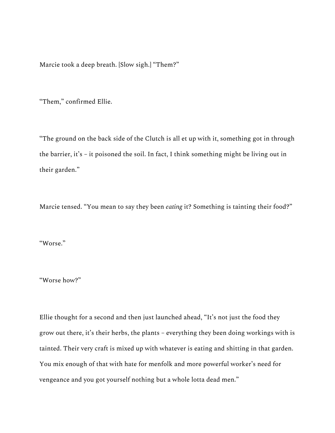Marcie took a deep breath. [Slow sigh.] "Them?"

"Them," confirmed Ellie.

"The ground on the back side of the Clutch is all et up with it, something got in through the barrier, it's – it poisoned the soil. In fact, I think something might be living out in their garden."

Marcie tensed. "You mean to say they been *eating* it? Something is tainting their food?"

"Worse."

"Worse how?"

Ellie thought for a second and then just launched ahead, "It's not just the food they grow out there, it's their herbs, the plants – everything they been doing workings with is tainted. Their very craft is mixed up with whatever is eating and shitting in that garden. You mix enough of that with hate for menfolk and more powerful worker's need for vengeance and you got yourself nothing but a whole lotta dead men."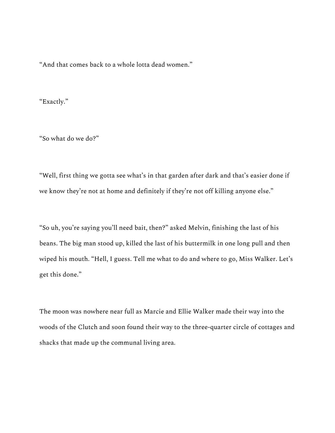"And that comes back to a whole lotta dead women."

"Exactly."

"So what do we do?"

"Well, first thing we gotta see what's in that garden after dark and that's easier done if we know they're not at home and definitely if they're not off killing anyone else."

"So uh, you're saying you'll need bait, then?" asked Melvin, finishing the last of his beans. The big man stood up, killed the last of his buttermilk in one long pull and then wiped his mouth. "Hell, I guess. Tell me what to do and where to go, Miss Walker. Let's get this done."

The moon was nowhere near full as Marcie and Ellie Walker made their way into the woods of the Clutch and soon found their way to the three-quarter circle of cottages and shacks that made up the communal living area.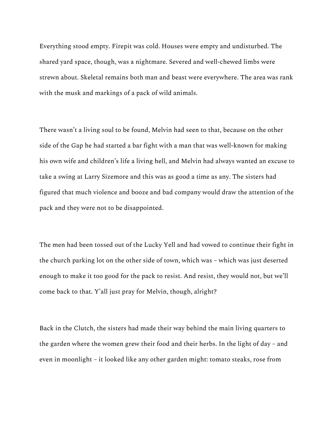Everything stood empty. Firepit was cold. Houses were empty and undisturbed. The shared yard space, though, was a nightmare. Severed and well-chewed limbs were strewn about. Skeletal remains both man and beast were everywhere. The area was rank with the musk and markings of a pack of wild animals.

There wasn't a living soul to be found, Melvin had seen to that, because on the other side of the Gap he had started a bar fight with a man that was well-known for making his own wife and children's life a living hell, and Melvin had always wanted an excuse to take a swing at Larry Sizemore and this was as good a time as any. The sisters had figured that much violence and booze and bad company would draw the attention of the pack and they were not to be disappointed.

The men had been tossed out of the Lucky Yell and had vowed to continue their fight in the church parking lot on the other side of town, which was – which was just deserted enough to make it too good for the pack to resist. And resist, they would not, but we'll come back to that. Y'all just pray for Melvin, though, alright?

Back in the Clutch, the sisters had made their way behind the main living quarters to the garden where the women grew their food and their herbs. In the light of day – and even in moonlight – it looked like any other garden might: tomato steaks, rose from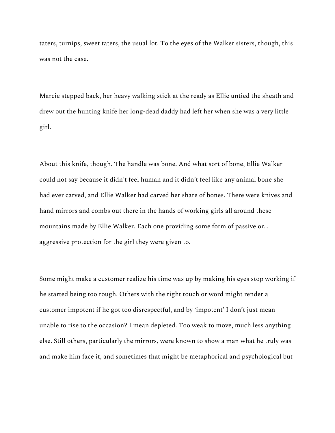taters, turnips, sweet taters, the usual lot. To the eyes of the Walker sisters, though, this was not the case.

Marcie stepped back, her heavy walking stick at the ready as Ellie untied the sheath and drew out the hunting knife her long-dead daddy had left her when she was a very little girl.

About this knife, though. The handle was bone. And what sort of bone, Ellie Walker could not say because it didn't feel human and it didn't feel like any animal bone she had ever carved, and Ellie Walker had carved her share of bones. There were knives and hand mirrors and combs out there in the hands of working girls all around these mountains made by Ellie Walker. Each one providing some form of passive or… aggressive protection for the girl they were given to.

Some might make a customer realize his time was up by making his eyes stop working if he started being too rough. Others with the right touch or word might render a customer impotent if he got too disrespectful, and by 'impotent' I don't just mean unable to rise to the occasion? I mean depleted. Too weak to move, much less anything else. Still others, particularly the mirrors, were known to show a man what he truly was and make him face it, and sometimes that might be metaphorical and psychological but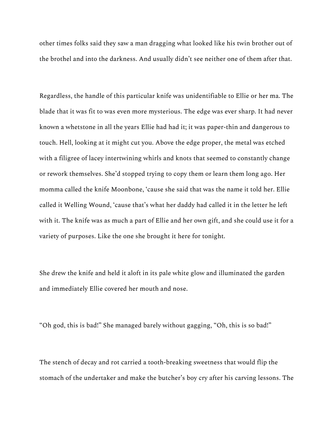other times folks said they saw a man dragging what looked like his twin brother out of the brothel and into the darkness. And usually didn't see neither one of them after that.

Regardless, the handle of this particular knife was unidentifiable to Ellie or her ma. The blade that it was fit to was even more mysterious. The edge was ever sharp. It had never known a whetstone in all the years Ellie had had it; it was paper-thin and dangerous to touch. Hell, looking at it might cut you. Above the edge proper, the metal was etched with a filigree of lacey intertwining whirls and knots that seemed to constantly change or rework themselves. She'd stopped trying to copy them or learn them long ago. Her momma called the knife Moonbone, 'cause she said that was the name it told her. Ellie called it Welling Wound, 'cause that's what her daddy had called it in the letter he left with it. The knife was as much a part of Ellie and her own gift, and she could use it for a variety of purposes. Like the one she brought it here for tonight.

She drew the knife and held it aloft in its pale white glow and illuminated the garden and immediately Ellie covered her mouth and nose.

"Oh god, this is bad!" She managed barely without gagging, "Oh, this is so bad!"

The stench of decay and rot carried a tooth-breaking sweetness that would flip the stomach of the undertaker and make the butcher's boy cry after his carving lessons. The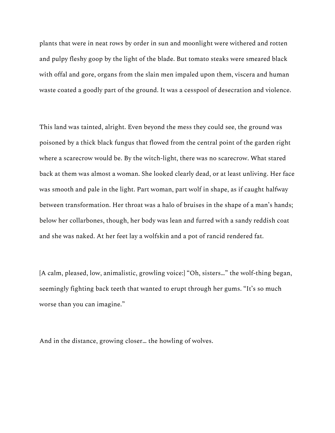plants that were in neat rows by order in sun and moonlight were withered and rotten and pulpy fleshy goop by the light of the blade. But tomato steaks were smeared black with offal and gore, organs from the slain men impaled upon them, viscera and human waste coated a goodly part of the ground. It was a cesspool of desecration and violence.

This land was tainted, alright. Even beyond the mess they could see, the ground was poisoned by a thick black fungus that flowed from the central point of the garden right where a scarecrow would be. By the witch-light, there was no scarecrow. What stared back at them was almost a woman. She looked clearly dead, or at least unliving. Her face was smooth and pale in the light. Part woman, part wolf in shape, as if caught halfway between transformation. Her throat was a halo of bruises in the shape of a man's hands; below her collarbones, though, her body was lean and furred with a sandy reddish coat and she was naked. At her feet lay a wolfskin and a pot of rancid rendered fat.

[A calm, pleased, low, animalistic, growling voice:] "Oh, sisters…" the wolf-thing began, seemingly fighting back teeth that wanted to erupt through her gums. "It's so much worse than you can imagine."

And in the distance, growing closer… the howling of wolves.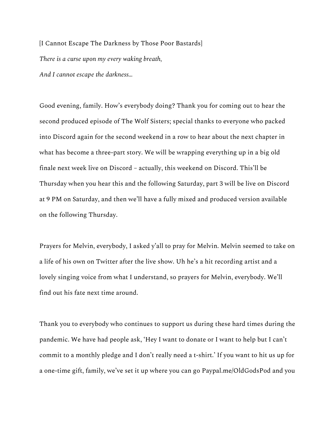[I Cannot Escape The Darkness by Those Poor Bastards] *There is a curse upon my every waking breath, And I cannot escape the darkness…*

Good evening, family. How's everybody doing? Thank you for coming out to hear the second produced episode of The Wolf Sisters; special thanks to everyone who packed into Discord again for the second weekend in a row to hear about the next chapter in what has become a three-part story. We will be wrapping everything up in a big old finale next week live on Discord – actually, this weekend on Discord. This'll be Thursday when you hear this and the following Saturday, part 3 will be live on Discord at 9 PM on Saturday, and then we'll have a fully mixed and produced version available on the following Thursday.

Prayers for Melvin, everybody, I asked y'all to pray for Melvin. Melvin seemed to take on a life of his own on Twitter after the live show. Uh he's a hit recording artist and a lovely singing voice from what I understand, so prayers for Melvin, everybody. We'll find out his fate next time around.

Thank you to everybody who continues to support us during these hard times during the pandemic. We have had people ask, 'Hey I want to donate or I want to help but I can't commit to a monthly pledge and I don't really need a t-shirt.' If you want to hit us up for a one-time gift, family, we've set it up where you can go Paypal.me/OldGodsPod and you